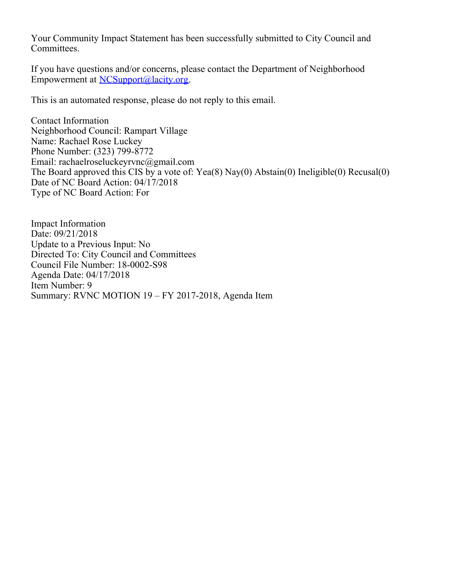Your Community Impact Statement has been successfully submitted to City Council and Committees.

If you have questions and/or concerns, please contact the Department of Neighborhood Empowerment at [NCSupport@lacity.org](mailto:NCSupport@lacity.org).

This is an automated response, please do not reply to this email.

Contact Information Neighborhood Council: Rampart Village Name: Rachael Rose Luckey Phone Number: (323) 799-8772 Email: rachaelroseluckeyrvnc@gmail.com The Board approved this CIS by a vote of: Yea(8) Nay(0) Abstain(0) Ineligible(0) Recusal(0) Date of NC Board Action: 04/17/2018 Type of NC Board Action: For

Impact Information Date: 09/21/2018 Update to a Previous Input: No Directed To: City Council and Committees Council File Number: 18-0002-S98 Agenda Date: 04/17/2018 Item Number: 9 Summary: RVNC MOTION 19 – FY 2017-2018, Agenda Item